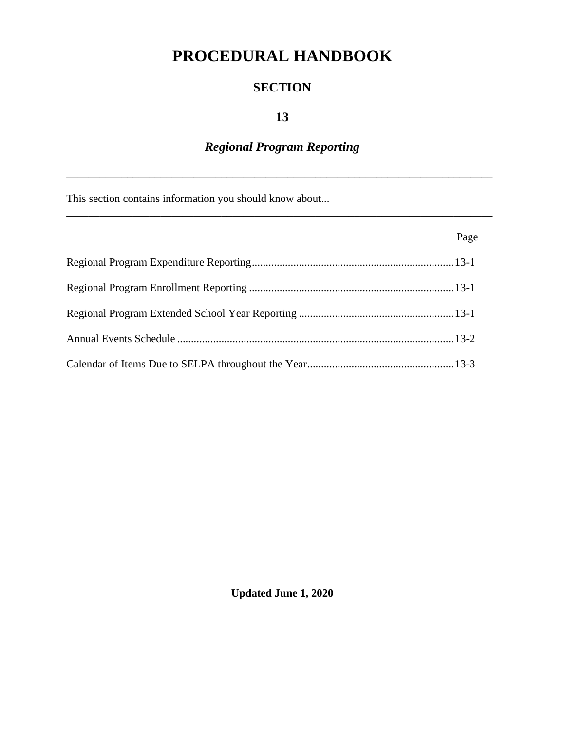# **PROCEDURAL HANDBOOK**

#### **SECTION**

#### **13**

# *Regional Program Reporting*

\_\_\_\_\_\_\_\_\_\_\_\_\_\_\_\_\_\_\_\_\_\_\_\_\_\_\_\_\_\_\_\_\_\_\_\_\_\_\_\_\_\_\_\_\_\_\_\_\_\_\_\_\_\_\_\_\_\_\_\_\_\_\_\_\_\_\_\_\_\_\_\_\_\_\_\_\_

\_\_\_\_\_\_\_\_\_\_\_\_\_\_\_\_\_\_\_\_\_\_\_\_\_\_\_\_\_\_\_\_\_\_\_\_\_\_\_\_\_\_\_\_\_\_\_\_\_\_\_\_\_\_\_\_\_\_\_\_\_\_\_\_\_\_\_\_\_\_\_\_\_\_\_\_\_

This section contains information you should know about...

| Page |
|------|
|      |
|      |
|      |
|      |
|      |

**Updated June 1, 2020**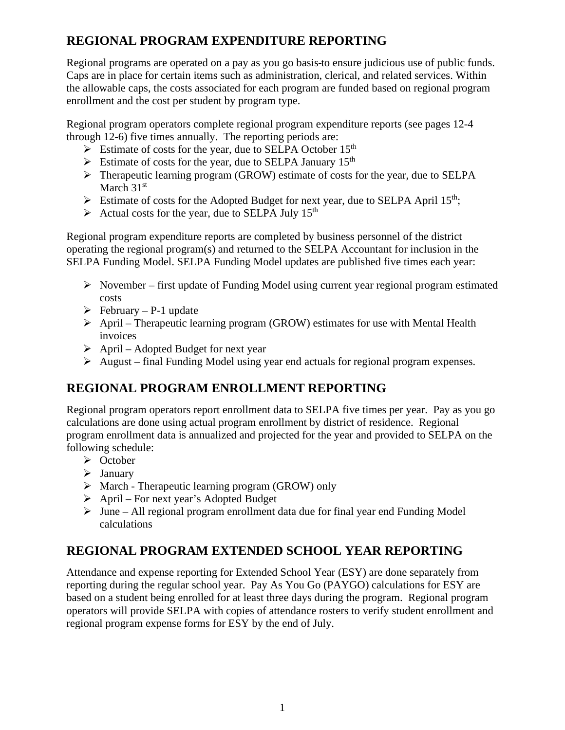# **REGIONAL PROGRAM EXPENDITURE REPORTING**

Regional programs are operated on a pay as you go basis to ensure judicious use of public funds. Caps are in place for certain items such as administration, clerical, and related services. Within the allowable caps, the costs associated for each program are funded based on regional program enrollment and the cost per student by program type.

Regional program operators complete regional program expenditure reports (see pages 12-4 through 12-6) five times annually. The reporting periods are:

- $\triangleright$  Estimate of costs for the year, due to SELPA October 15<sup>th</sup>
- $\triangleright$  Estimate of costs for the year, due to SELPA January 15<sup>th</sup>
- $\triangleright$  Therapeutic learning program (GROW) estimate of costs for the year, due to SELPA March 31<sup>st</sup>
- $\triangleright$  Estimate of costs for the Adopted Budget for next year, due to SELPA April 15<sup>th</sup>;
- $\triangleright$  Actual costs for the year, due to SELPA July 15<sup>th</sup>

Regional program expenditure reports are completed by business personnel of the district operating the regional program(s) and returned to the SELPA Accountant for inclusion in the SELPA Funding Model. SELPA Funding Model updates are published five times each year:

- $\triangleright$  November first update of Funding Model using current year regional program estimated costs
- $\triangleright$  February P-1 update
- $\triangleright$  April Therapeutic learning program (GROW) estimates for use with Mental Health invoices
- $\triangleright$  April Adopted Budget for next year
- $\triangleright$  August final Funding Model using year end actuals for regional program expenses.

# **REGIONAL PROGRAM ENROLLMENT REPORTING**

Regional program operators report enrollment data to SELPA five times per year. Pay as you go calculations are done using actual program enrollment by district of residence. Regional program enrollment data is annualized and projected for the year and provided to SELPA on the following schedule:

- October
- $\triangleright$  January
- $\triangleright$  March Therapeutic learning program (GROW) only
- $\triangleright$  April For next year's Adopted Budget
- $\triangleright$  June All regional program enrollment data due for final year end Funding Model calculations

# **REGIONAL PROGRAM EXTENDED SCHOOL YEAR REPORTING**

Attendance and expense reporting for Extended School Year (ESY) are done separately from reporting during the regular school year. Pay As You Go (PAYGO) calculations for ESY are based on a student being enrolled for at least three days during the program. Regional program operators will provide SELPA with copies of attendance rosters to verify student enrollment and regional program expense forms for ESY by the end of July.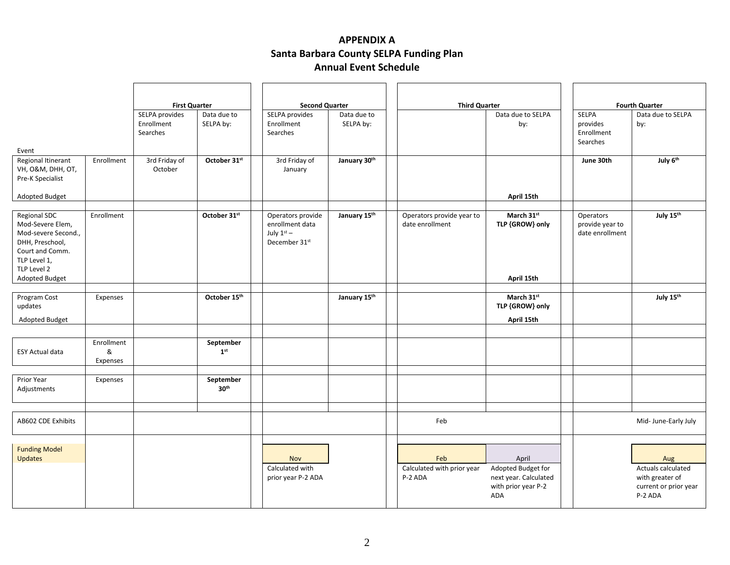#### **APPENDIX A Santa Barbara County SELPA Funding Plan Annual Event Schedule**

|                                                                                                                      |                             | <b>First Quarter</b>                     |                               | <b>Second Quarter</b> |                                                                                   | <b>Third Quarter</b>     |                                              | <b>Fourth Quarter</b>                                                     |  |                                                    |                                                                           |
|----------------------------------------------------------------------------------------------------------------------|-----------------------------|------------------------------------------|-------------------------------|-----------------------|-----------------------------------------------------------------------------------|--------------------------|----------------------------------------------|---------------------------------------------------------------------------|--|----------------------------------------------------|---------------------------------------------------------------------------|
|                                                                                                                      |                             | SELPA provides<br>Enrollment<br>Searches | Data due to<br>SELPA by:      |                       | SELPA provides<br>Enrollment<br>Searches                                          | Data due to<br>SELPA by: |                                              | Data due to SELPA<br>by:                                                  |  | <b>SELPA</b><br>provides<br>Enrollment<br>Searches | Data due to SELPA<br>by:                                                  |
| Event                                                                                                                |                             |                                          |                               |                       |                                                                                   |                          |                                              |                                                                           |  |                                                    |                                                                           |
| Regional Itinerant<br>VH, O&M, DHH, OT,<br>Pre-K Specialist                                                          | Enrollment                  | 3rd Friday of<br>October                 | October 31st                  |                       | 3rd Friday of<br>January                                                          | January 30th             |                                              |                                                                           |  | June 30th                                          | July 6th                                                                  |
| Adopted Budget                                                                                                       |                             |                                          |                               |                       |                                                                                   |                          |                                              | April 15th                                                                |  |                                                    |                                                                           |
| <b>Regional SDC</b><br>Mod-Severe Elem,<br>Mod-severe Second.,<br>DHH, Preschool,<br>Court and Comm.<br>TLP Level 1, | Enrollment                  |                                          | October 31st                  |                       | Operators provide<br>enrollment data<br>July $1st$ –<br>December 31 <sup>st</sup> | January 15th             | Operators provide year to<br>date enrollment | March 31st<br>TLP {GROW} only                                             |  | Operators<br>provide year to<br>date enrollment    | July 15th                                                                 |
| TLP Level 2                                                                                                          |                             |                                          |                               |                       |                                                                                   |                          |                                              |                                                                           |  |                                                    |                                                                           |
| <b>Adopted Budget</b>                                                                                                |                             |                                          |                               |                       |                                                                                   |                          |                                              | April 15th                                                                |  |                                                    |                                                                           |
| Program Cost<br>updates<br><b>Adopted Budget</b>                                                                     | Expenses                    |                                          | October 15th                  |                       |                                                                                   | January 15th             |                                              | March 31st<br>TLP {GROW} only<br>April 15th                               |  |                                                    | July 15th                                                                 |
|                                                                                                                      |                             |                                          |                               |                       |                                                                                   |                          |                                              |                                                                           |  |                                                    |                                                                           |
| <b>ESY Actual data</b>                                                                                               | Enrollment<br>&<br>Expenses |                                          | September<br>1 <sup>st</sup>  |                       |                                                                                   |                          |                                              |                                                                           |  |                                                    |                                                                           |
| Prior Year<br>Adjustments                                                                                            | Expenses                    |                                          | September<br>30 <sup>th</sup> |                       |                                                                                   |                          |                                              |                                                                           |  |                                                    |                                                                           |
|                                                                                                                      |                             |                                          |                               |                       |                                                                                   |                          |                                              |                                                                           |  |                                                    |                                                                           |
| AB602 CDE Exhibits                                                                                                   |                             |                                          |                               |                       |                                                                                   |                          | Feb                                          |                                                                           |  |                                                    | Mid- June-Early July                                                      |
|                                                                                                                      |                             |                                          |                               |                       |                                                                                   |                          |                                              |                                                                           |  |                                                    |                                                                           |
| <b>Funding Model</b><br>Updates                                                                                      |                             |                                          |                               |                       | <b>Nov</b>                                                                        |                          | Feb                                          | April                                                                     |  |                                                    | Aug                                                                       |
|                                                                                                                      |                             |                                          |                               |                       | Calculated with<br>prior year P-2 ADA                                             |                          | Calculated with prior year<br>P-2 ADA        | Adopted Budget for<br>next year. Calculated<br>with prior year P-2<br>ADA |  |                                                    | Actuals calculated<br>with greater of<br>current or prior year<br>P-2 ADA |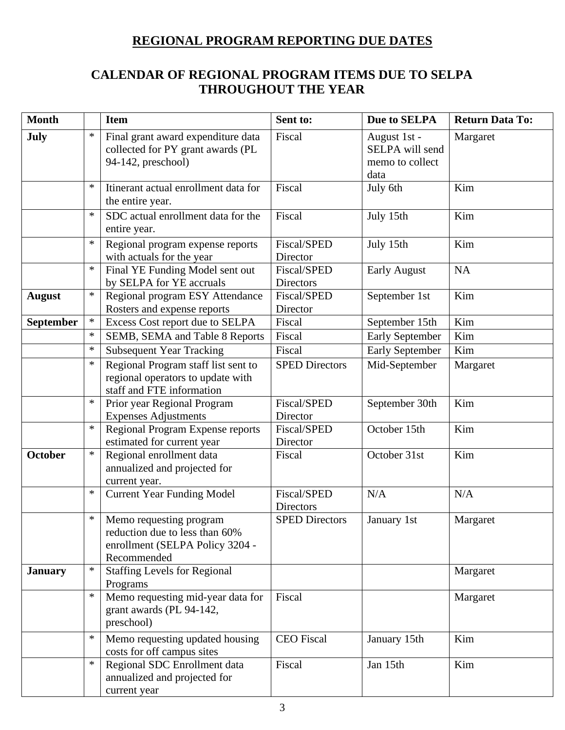#### **REGIONAL PROGRAM REPORTING DUE DATES**

#### **CALENDAR OF REGIONAL PROGRAM ITEMS DUE TO SELPA THROUGHOUT THE YEAR**

| <b>Month</b>     |                                                                                                         | <b>Item</b>                                                                                                 | Sent to:                               | Due to SELPA                                               | <b>Return Data To:</b> |
|------------------|---------------------------------------------------------------------------------------------------------|-------------------------------------------------------------------------------------------------------------|----------------------------------------|------------------------------------------------------------|------------------------|
| July             | $\ast$<br>Final grant award expenditure data<br>collected for PY grant awards (PL<br>94-142, preschool) |                                                                                                             | Fiscal                                 | August 1st -<br>SELPA will send<br>memo to collect<br>data | Margaret               |
|                  | $\ast$                                                                                                  | Itinerant actual enrollment data for<br>the entire year.                                                    | Fiscal                                 | July 6th                                                   | Kim                    |
|                  | $\ast$                                                                                                  | SDC actual enrollment data for the<br>entire year.                                                          | Fiscal                                 | July 15th                                                  | Kim                    |
|                  | $\ast$                                                                                                  | Regional program expense reports<br>with actuals for the year                                               | <b>Fiscal/SPED</b><br>Director         | July 15th                                                  | Kim                    |
|                  | $\ast$                                                                                                  | Final YE Funding Model sent out<br>by SELPA for YE accruals                                                 | <b>Fiscal/SPED</b><br><b>Directors</b> | <b>Early August</b>                                        | <b>NA</b>              |
| <b>August</b>    | $\ast$                                                                                                  | Regional program ESY Attendance<br>Rosters and expense reports                                              | Fiscal/SPED<br>Director                | September 1st                                              | Kim                    |
| <b>September</b> | $\ast$                                                                                                  | Excess Cost report due to SELPA                                                                             | Fiscal                                 | September 15th                                             | Kim                    |
|                  | $\ast$                                                                                                  | SEMB, SEMA and Table 8 Reports                                                                              | Fiscal                                 | <b>Early September</b>                                     | Kim                    |
|                  | $\ast$                                                                                                  | <b>Subsequent Year Tracking</b>                                                                             | Fiscal                                 | <b>Early September</b>                                     | Kim                    |
|                  | $\ast$                                                                                                  | Regional Program staff list sent to<br>regional operators to update with<br>staff and FTE information       | <b>SPED Directors</b>                  | Mid-September                                              | Margaret               |
|                  | $\ast$                                                                                                  | Prior year Regional Program<br><b>Expenses Adjustments</b>                                                  | <b>Fiscal/SPED</b><br>Director         | September 30th                                             | Kim                    |
|                  | $\ast$                                                                                                  | Regional Program Expense reports<br>estimated for current year                                              | Fiscal/SPED<br>Director                | October 15th                                               | Kim                    |
| <b>October</b>   | $\ast$                                                                                                  | Regional enrollment data<br>annualized and projected for<br>current year.                                   | Fiscal                                 | October 31st                                               | Kim                    |
|                  | $\ast$                                                                                                  | <b>Current Year Funding Model</b>                                                                           | Fiscal/SPED<br>Directors               | N/A                                                        | N/A                    |
|                  | $\ast$                                                                                                  | Memo requesting program<br>reduction due to less than 60%<br>enrollment (SELPA Policy 3204 -<br>Recommended | <b>SPED Directors</b>                  | January 1st                                                | Margaret               |
| <b>January</b>   | $\ast$                                                                                                  | <b>Staffing Levels for Regional</b><br>Programs                                                             |                                        |                                                            | Margaret               |
|                  | $\ast$                                                                                                  | Memo requesting mid-year data for<br>grant awards (PL 94-142,<br>preschool)                                 | Fiscal                                 |                                                            | Margaret               |
|                  | $\ast$                                                                                                  | Memo requesting updated housing<br>costs for off campus sites                                               | <b>CEO</b> Fiscal                      | January 15th                                               | Kim                    |
|                  | $\ast$                                                                                                  | Regional SDC Enrollment data<br>annualized and projected for<br>current year                                | Fiscal                                 | Jan 15th                                                   | Kim                    |